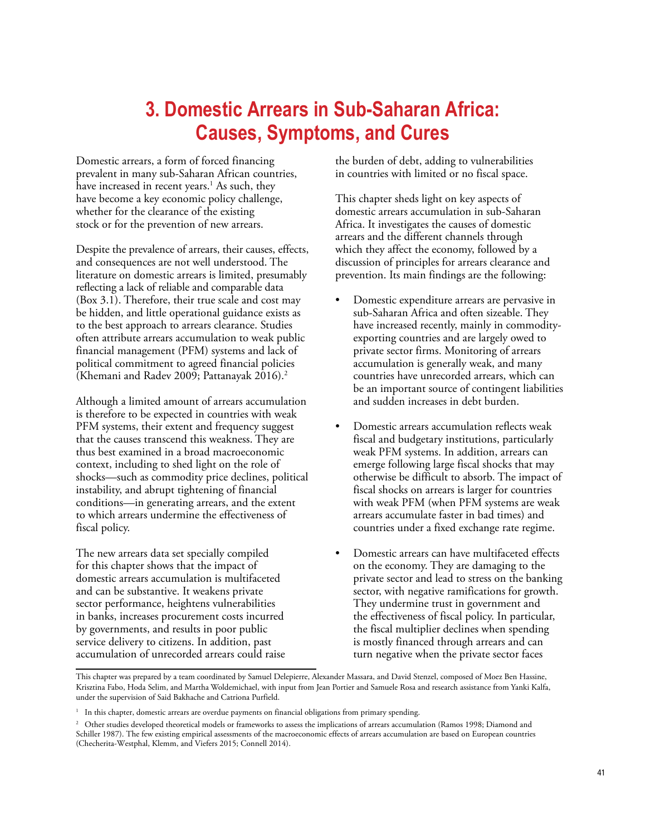# **3. Domestic Arrears in Sub-Saharan Africa: Causes, Symptoms, and Cures**

Domestic arrears, a form of forced financing prevalent in many sub-Saharan African countries, have increased in recent years.<sup>1</sup> As such, they have become a key economic policy challenge, whether for the clearance of the existing stock or for the prevention of new arrears.

Despite the prevalence of arrears, their causes, effects, and consequences are not well understood. The literature on domestic arrears is limited, presumably reflecting a lack of reliable and comparable data (Box 3.1). Therefore, their true scale and cost may be hidden, and little operational guidance exists as to the best approach to arrears clearance. Studies often attribute arrears accumulation to weak public financial management (PFM) systems and lack of political commitment to agreed financial policies (Khemani and Radev 2009; Pattanayak 2016).<sup>2</sup>

Although a limited amount of arrears accumulation is therefore to be expected in countries with weak PFM systems, their extent and frequency suggest that the causes transcend this weakness. They are thus best examined in a broad macroeconomic context, including to shed light on the role of shocks—such as commodity price declines, political instability, and abrupt tightening of financial conditions—in generating arrears, and the extent to which arrears undermine the effectiveness of fiscal policy.

The new arrears data set specially compiled for this chapter shows that the impact of domestic arrears accumulation is multifaceted and can be substantive. It weakens private sector performance, heightens vulnerabilities in banks, increases procurement costs incurred by governments, and results in poor public service delivery to citizens. In addition, past accumulation of unrecorded arrears could raise

the burden of debt, adding to vulnerabilities in countries with limited or no fiscal space.

This chapter sheds light on key aspects of domestic arrears accumulation in sub-Saharan Africa. It investigates the causes of domestic arrears and the different channels through which they affect the economy, followed by a discussion of principles for arrears clearance and prevention. Its main findings are the following:

- Domestic expenditure arrears are pervasive in sub-Saharan Africa and often sizeable. They have increased recently, mainly in commodityexporting countries and are largely owed to private sector firms. Monitoring of arrears accumulation is generally weak, and many countries have unrecorded arrears, which can be an important source of contingent liabilities and sudden increases in debt burden.
- Domestic arrears accumulation reflects weak fiscal and budgetary institutions, particularly weak PFM systems. In addition, arrears can emerge following large fiscal shocks that may otherwise be difficult to absorb. The impact of fiscal shocks on arrears is larger for countries with weak PFM (when PFM systems are weak arrears accumulate faster in bad times) and countries under a fixed exchange rate regime.
- Domestic arrears can have multifaceted effects on the economy. They are damaging to the private sector and lead to stress on the banking sector, with negative ramifications for growth. They undermine trust in government and the effectiveness of fiscal policy. In particular, the fiscal multiplier declines when spending is mostly financed through arrears and can turn negative when the private sector faces

This chapter was prepared by a team coordinated by Samuel Delepierre, Alexander Massara, and David Stenzel, composed of Moez Ben Hassine, Krisztina Fabo, Hoda Selim, and Martha Woldemichael, with input from Jean Portier and Samuele Rosa and research assistance from Yanki Kalfa, under the supervision of Said Bakhache and Catriona Purfield.

<sup>&</sup>lt;sup>1</sup> In this chapter, domestic arrears are overdue payments on financial obligations from primary spending.

<sup>&</sup>lt;sup>2</sup> Other studies developed theoretical models or frameworks to assess the implications of arrears accumulation (Ramos 1998; Diamond and Schiller 1987). The few existing empirical assessments of the macroeconomic effects of arrears accumulation are based on European countries (Checherita-Westphal, Klemm, and Viefers 2015; Connell 2014).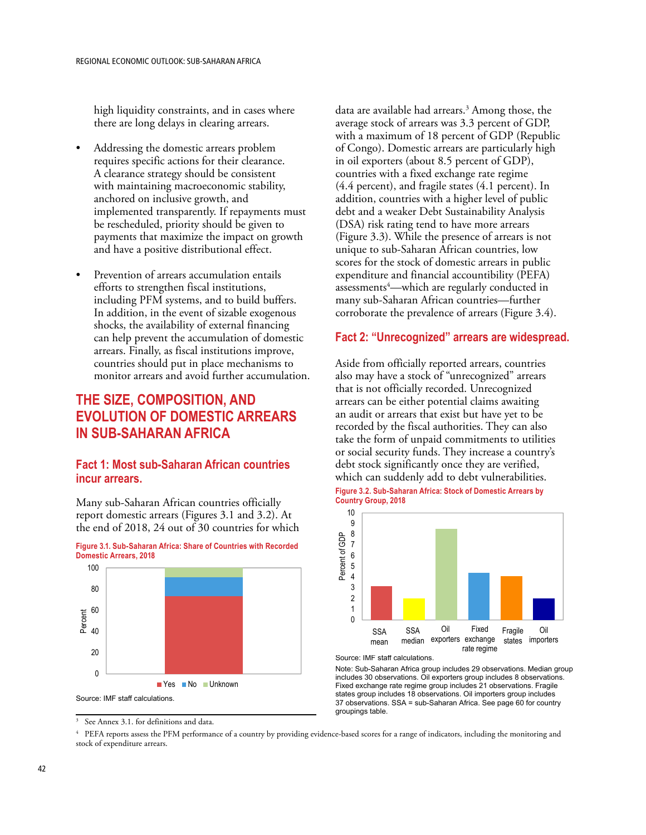high liquidity constraints, and in cases where there are long delays in clearing arrears.

- Addressing the domestic arrears problem requires specific actions for their clearance. A clearance strategy should be consistent with maintaining macroeconomic stability, anchored on inclusive growth, and implemented transparently. If repayments must be rescheduled, priority should be given to payments that maximize the impact on growth and have a positive distributional effect.
- Prevention of arrears accumulation entails efforts to strengthen fiscal institutions, including PFM systems, and to build buffers. In addition, in the event of sizable exogenous shocks, the availability of external financing can help prevent the accumulation of domestic arrears. Finally, as fiscal institutions improve, countries should put in place mechanisms to monitor arrears and avoid further accumulation.

# **THE SIZE, COMPOSITION, AND EVOLUTION OF DOMESTIC ARREARS IN SUB-SAHARAN AFRICA**

# **Fact 1: Most sub-Saharan African countries incur arrears.**

Many sub-Saharan African countries officially report domestic arrears (Figures 3.1 and 3.2). At the end of 2018, 24 out of 30 countries for which



**Figure 3.1. Sub-Saharan Africa: Share of Countries with Recorded Domestic Arrears, 2018**

<sup>3</sup> See Annex 3.1. for definitions and data.

data are available had arrears.<sup>3</sup> Among those, the average stock of arrears was 3.3 percent of GDP, with a maximum of 18 percent of GDP (Republic of Congo). Domestic arrears are particularly high in oil exporters (about 8.5 percent of GDP), countries with a fixed exchange rate regime (4.4 percent), and fragile states (4.1 percent). In addition, countries with a higher level of public debt and a weaker Debt Sustainability Analysis (DSA) risk rating tend to have more arrears (Figure 3.3). While the presence of arrears is not unique to sub-Saharan African countries, low scores for the stock of domestic arrears in public expenditure and financial accountibility (PEFA) assessments<sup>4</sup>—which are regularly conducted in many sub-Saharan African countries—further corroborate the prevalence of arrears (Figure 3.4).

# **Fact 2: "Unrecognized" arrears are widespread.**

Aside from officially reported arrears, countries also may have a stock of "unrecognized" arrears that is not officially recorded. Unrecognized arrears can be either potential claims awaiting an audit or arrears that exist but have yet to be recorded by the fiscal authorities. They can also take the form of unpaid commitments to utilities or social security funds. They increase a country's debt stock significantly once they are verified, which can suddenly add to debt vulnerabilities. **Figure 3.2. Sub-Saharan Africa: Stock of Domestic Arrears by** 

**Country Group, 2018** 



Source: IMF staff calculations.

Note: Sub-Saharan Africa group includes 29 observations. Median group includes 30 observations. Oil exporters group includes 8 observations. Fixed exchange rate regime group includes 21 observations. Fragile states group includes 18 observations. Oil importers group includes 37 observations. SSA = sub-Saharan Africa. See page 60 for country groupings table.

4 PEFA reports assess the PFM performance of a country by providing evidence-based scores for a range of indicators, including the monitoring and stock of expenditure arrears.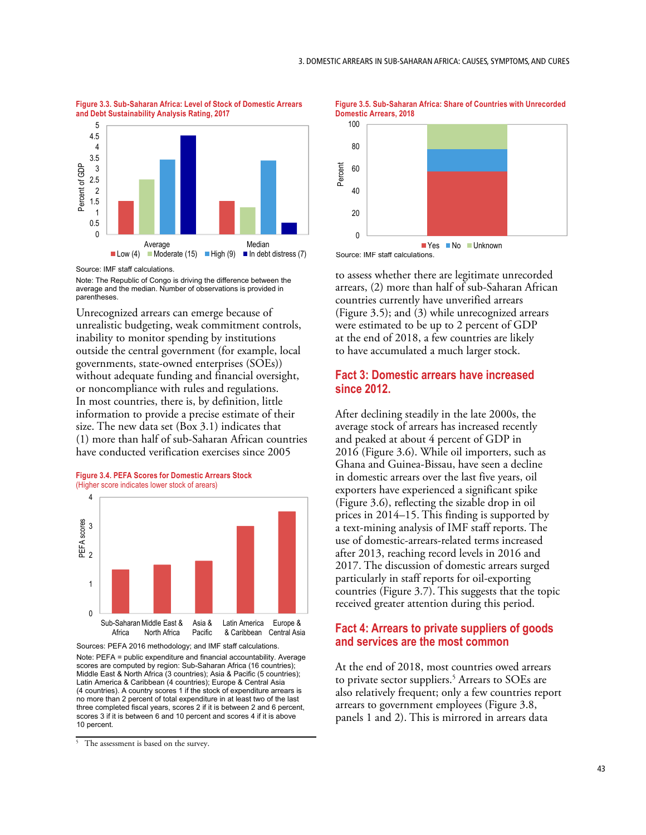**Figure 3.3. Sub-Saharan Africa: Level of Stock of Domestic Arrears and Debt Sustainability Analysis Rating, 2017**



Source: IMF staff calculations.

Note: The Republic of Congo is driving the difference between the average and the median. Number of observations is provided in parentheses.

Unrecognized arrears can emerge because of unrealistic budgeting, weak commitment controls, inability to monitor spending by institutions outside the central government (for example, local governments, state-owned enterprises (SOEs)) without adequate funding and financial oversight, or noncompliance with rules and regulations. In most countries, there is, by definition, little information to provide a precise estimate of their size. The new data set (Box 3.1) indicates that (1) more than half of sub-Saharan African countries have conducted verification exercises since 2005





Sources: PEFA 2016 methodology; and IMF staff calculations.

Note: PEFA = public expenditure and financial accountability. Average scores are computed by region: Sub-Saharan Africa (16 countries); Middle East & North Africa (3 countries); Asia & Pacific (5 countries); Latin America & Caribbean (4 countries); Europe & Central Asia (4 countries). A country scores 1 if the stock of expenditure arrears is no more than 2 percent of total expenditure in at least two of the last three completed fiscal years, scores 2 if it is between 2 and 6 percent, scores 3 if it is between 6 and 10 percent and scores 4 if it is above 10 percent.





Source: IMF staff calculations.

to assess whether there are legitimate unrecorded arrears, (2) more than half of sub-Saharan African countries currently have unverified arrears (Figure 3.5); and (3) while unrecognized arrears were estimated to be up to 2 percent of GDP at the end of 2018, a few countries are likely to have accumulated a much larger stock.

### **Fact 3: Domestic arrears have increased since 2012.**

After declining steadily in the late 2000s, the average stock of arrears has increased recently and peaked at about 4 percent of GDP in 2016 (Figure 3.6). While oil importers, such as Ghana and Guinea-Bissau, have seen a decline in domestic arrears over the last five years, oil exporters have experienced a significant spike (Figure 3.6), reflecting the sizable drop in oil prices in 2014–15. This finding is supported by a text-mining analysis of IMF staff reports. The use of domestic-arrears-related terms increased after 2013, reaching record levels in 2016 and 2017. The discussion of domestic arrears surged particularly in staff reports for oil-exporting countries (Figure 3.7). This suggests that the topic received greater attention during this period.

# **Fact 4: Arrears to private suppliers of goods and services are the most common**

At the end of 2018, most countries owed arrears to private sector suppliers.<sup>5</sup> Arrears to SOEs are also relatively frequent; only a few countries report arrears to government employees (Figure 3.8, panels 1 and 2). This is mirrored in arrears data

<sup>&</sup>lt;sup>5</sup> The assessment is based on the survey.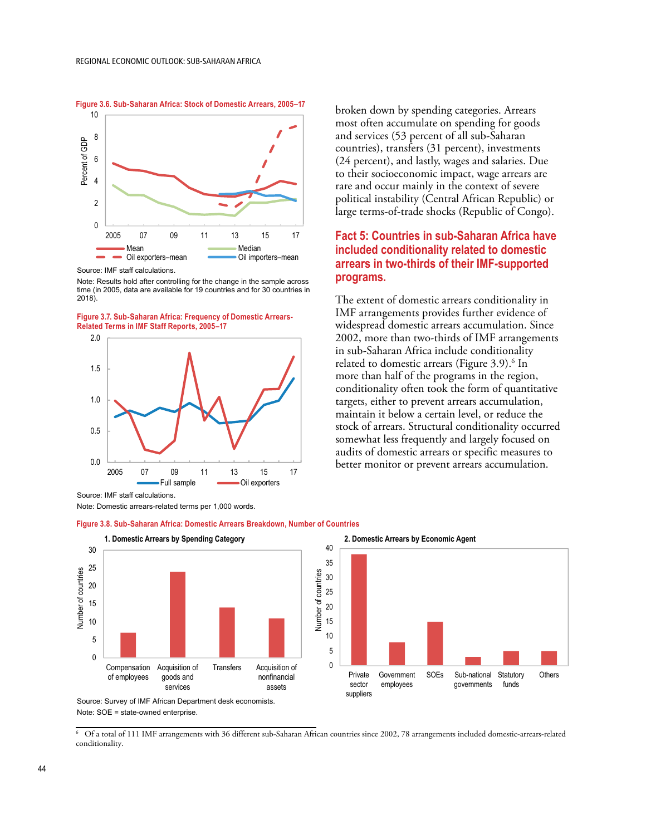10 8 Percent of GDP Percent of GDP 6 4 2 0 2005 07 09 11 13 15 17 Mean **Manual Communism Median**<br>Oil exporters-mean **Communism** Oil importers-mean Oil exporters–mean

**Figure 3.6. Sub-Saharan Africa: Stock of Domestic Arrears, 2005–17**

Source: IMF staff calculations.

Note: Results hold after controlling for the change in the sample across time (in 2005, data are available for 19 countries and for 30 countries in 2018).

**Figure 3.7. Sub-Saharan Africa: Frequency of Domestic Arrears-p Related Terms in IMF Staff Reports, 2005–17**



broken down by spending categories. Arrears most often accumulate on spending for goods and services (53 percent of all sub-Saharan countries), transfers (31 percent), investments (24 percent), and lastly, wages and salaries. Due to their socioeconomic impact, wage arrears are rare and occur mainly in the context of severe political instability (Central African Republic) or large terms-of-trade shocks (Republic of Congo).

# **Fact 5: Countries in sub-Saharan Africa have included conditionality related to domestic arrears in two-thirds of their IMF-supported programs.**

The extent of domestic arrears conditionality in IMF arrangements provides further evidence of widespread domestic arrears accumulation. Since 2002, more than two-thirds of IMF arrangements in sub-Saharan Africa include conditionality related to domestic arrears (Figure 3.9).<sup>6</sup> In more than half of the programs in the region, conditionality often took the form of quantitative targets, either to prevent arrears accumulation, maintain it below a certain level, or reduce the stock of arrears. Structural conditionality occurred somewhat less frequently and largely focused on audits of domestic arrears or specific measures to better monitor or prevent arrears accumulation.

> Government SOE sovernment oo<br>employees

services

SOEs Sub-national Statutory governments

**Statutory** funds nonfinancial

ando

**Others** 



Note: Domestic arrears-related terms per 1,000 words.



**Figure 3.8. Sub-Saharan Africa: Domestic Arrears Breakdown, Number of Countries**

Source: Survey of IMF African Department desk economists. Note: SOE = state-owned enterprise.

6 Of a total of 111 IMF arrangements with 36 different sub-Saharan African countries since 2002, 78 arrangements included domestic-arrears-related conditionality.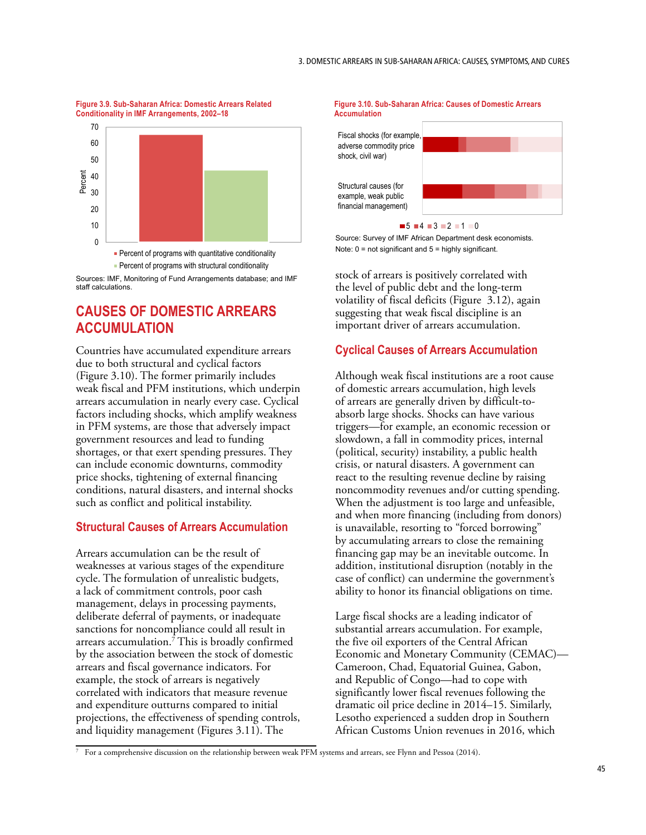#### **Figure 3.9. Sub-Saharan Africa: Domestic Arrears Related Conditionality in IMF Arrangements, 2002–18**





Sources: IMF, Monitoring of Fund Arrangements database; and IMF staff calculations.

# **CAUSES OF DOMESTIC ARREARS ACCUMULATION**

Countries have accumulated expenditure arrears due to both structural and cyclical factors (Figure 3.10). The former primarily includes weak fiscal and PFM institutions, which underpin arrears accumulation in nearly every case. Cyclical factors including shocks, which amplify weakness in PFM systems, are those that adversely impact government resources and lead to funding shortages, or that exert spending pressures. They can include economic downturns, commodity price shocks, tightening of external financing conditions, natural disasters, and internal shocks such as conflict and political instability.

# **Structural Causes of Arrears Accumulation**

Arrears accumulation can be the result of weaknesses at various stages of the expenditure cycle. The formulation of unrealistic budgets, a lack of commitment controls, poor cash management, delays in processing payments, deliberate deferral of payments, or inadequate sanctions for noncompliance could all result in arrears accumulation.7 This is broadly confirmed by the association between the stock of domestic arrears and fiscal governance indicators. For example, the stock of arrears is negatively correlated with indicators that measure revenue and expenditure outturns compared to initial projections, the effectiveness of spending controls, and liquidity management (Figures 3.11). The





Source: Survey of IMF African Department desk economists. Note: 0 = not significant and 5 = highly significant.

example, weak public financial management)

stock of arrears is positively correlated with the level of public debt and the long-term volatility of fiscal deficits (Figure 3.12), again suggesting that weak fiscal discipline is an important driver of arrears accumulation.

# **Cyclical Causes of Arrears Accumulation**

Although weak fiscal institutions are a root cause of domestic arrears accumulation, high levels of arrears are generally driven by difficult-toabsorb large shocks. Shocks can have various triggers—for example, an economic recession or slowdown, a fall in commodity prices, internal (political, security) instability, a public health crisis, or natural disasters. A government can react to the resulting revenue decline by raising noncommodity revenues and/or cutting spending. When the adjustment is too large and unfeasible, and when more financing (including from donors) is unavailable, resorting to "forced borrowing" by accumulating arrears to close the remaining financing gap may be an inevitable outcome. In addition, institutional disruption (notably in the case of conflict) can undermine the government's ability to honor its financial obligations on time.

Large fiscal shocks are a leading indicator of substantial arrears accumulation. For example, the five oil exporters of the Central African Economic and Monetary Community (CEMAC)— Cameroon, Chad, Equatorial Guinea, Gabon, and Republic of Congo—had to cope with significantly lower fiscal revenues following the dramatic oil price decline in 2014–15. Similarly, Lesotho experienced a sudden drop in Southern African Customs Union revenues in 2016, which

<sup>7</sup> For a comprehensive discussion on the relationship between weak PFM systems and arrears, see Flynn and Pessoa (2014).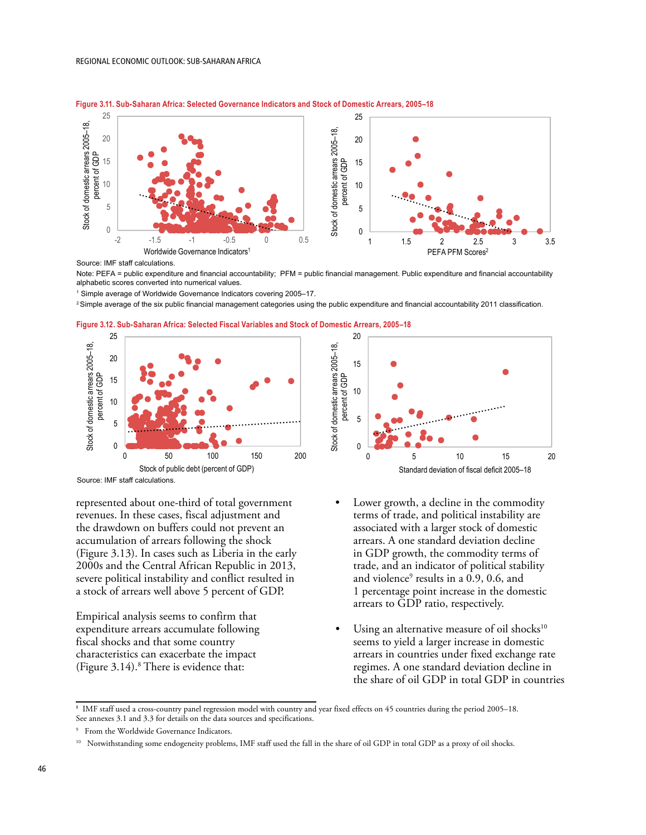

**Figure 3.11. Sub-Saharan Africa: Selected Governance Indicators and Stock of Domestic Arrears, 2005–18**

Source: IMF staff calculations.

Note: PEFA = public expenditure and financial accountability; PFM = public financial management. Public expenditure and financial accountability alphabetic scores converted into numerical values.

1 Simple average of Worldwide Governance Indicators covering 2005–17.

2 Simple average of the six public financial management categories using the public expenditure and financial accountability 2011 classification.







represented about one-third of total government revenues. In these cases, fiscal adjustment and the drawdown on buffers could not prevent an accumulation of arrears following the shock (Figure 3.13). In cases such as Liberia in the early 2000s and the Central African Republic in 2013, severe political instability and conflict resulted in a stock of arrears well above 5 percent of GDP.

Empirical analysis seems to confirm that expenditure arrears accumulate following fiscal shocks and that some country characteristics can exacerbate the impact (Figure 3.14).8 There is evidence that:



- Lower growth, a decline in the commodity terms of trade, and political instability are associated with a larger stock of domestic arrears. A one standard deviation decline in GDP growth, the commodity terms of trade, and an indicator of political stability and violence<sup>9</sup> results in a 0.9, 0.6, and 1 percentage point increase in the domestic arrears to GDP ratio, respectively.
- Using an alternative measure of oil shocks<sup>10</sup> seems to yield a larger increase in domestic arrears in countries under fixed exchange rate regimes. A one standard deviation decline in the share of oil GDP in total GDP in countries

<sup>8</sup> IMF staff used a cross-country panel regression model with country and year fixed effects on 45 countries during the period 2005–18. See annexes 3.1 and 3.3 for details on the data sources and specifications.

<sup>9</sup> From the Worldwide Governance Indicators.

<sup>&</sup>lt;sup>10</sup> Notwithstanding some endogeneity problems, IMF staff used the fall in the share of oil GDP in total GDP as a proxy of oil shocks.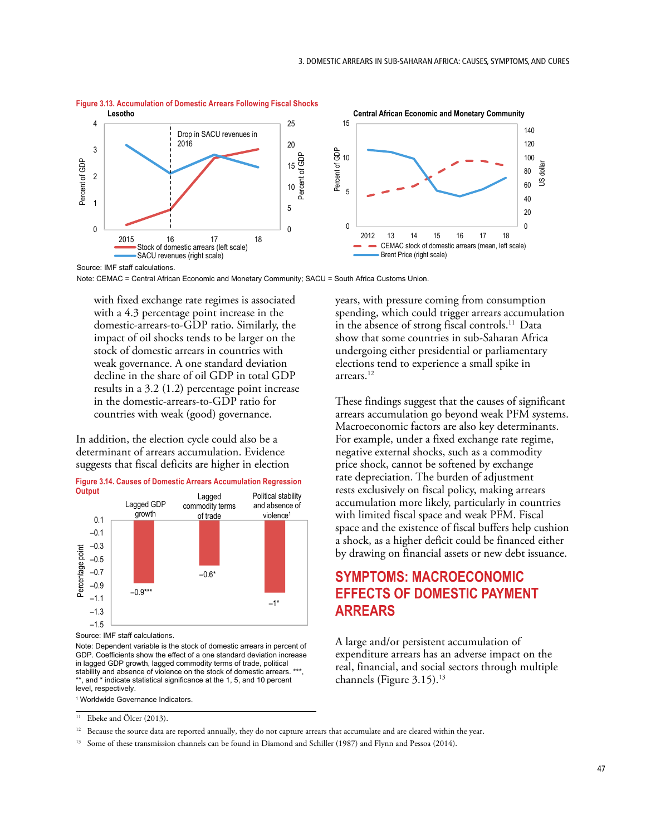

**Figure 3.13. Accumulation of Domestic Arrears Following Fiscal Shocks** Lesotho Central African Economic and Monetary Community Lesotho Central African Economic and Monetary Community Lesotho

Source: IMF staff calculations.

Note: CEMAC = Central African Economic and Monetary Community; SACU = South Africa Customs Union.

with fixed exchange rate regimes is associated with a 4.3 percentage point increase in the domestic-arrears-to-GDP ratio. Similarly, the impact of oil shocks tends to be larger on the stock of domestic arrears in countries with weak governance. A one standard deviation decline in the share of oil GDP in total GDP results in a 3.2 (1.2) percentage point increase in the domestic-arrears-to-GDP ratio for countries with weak (good) governance.

In addition, the election cycle could also be a determinant of arrears accumulation. Evidence suggests that fiscal deficits are higher in election



Source: IMF staff calculations.

Note: Dependent variable is the stock of domestic arrears in percent of GDP. Coefficients show the effect of a one standard deviation increase in lagged GDP growth, lagged commodity terms of trade, political stability and absence of violence on the stock of domestic arrears. \*\*\* , and  $*$  indicate statistical significance at the 1, 5, and 10 percent level, respectively.

1 Worldwide Governance Indicators.

years, with pressure coming from consumption spending, which could trigger arrears accumulation in the absence of strong fiscal controls.<sup>11</sup> Data show that some countries in sub-Saharan Africa undergoing either presidential or parliamentary elections tend to experience a small spike in arrears.12

These findings suggest that the causes of significant arrears accumulation go beyond weak PFM systems. Macroeconomic factors are also key determinants. For example, under a fixed exchange rate regime, negative external shocks, such as a commodity price shock, cannot be softened by exchange rate depreciation. The burden of adjustment rests exclusively on fiscal policy, making arrears accumulation more likely, particularly in countries with limited fiscal space and weak PFM. Fiscal space and the existence of fiscal buffers help cushion a shock, as a higher deficit could be financed either by drawing on financial assets or new debt issuance.

# **SYMPTOMS: MACROECONOMIC EFFECTS OF DOMESTIC PAYMENT ARREARS**

A large and/or persistent accumulation of expenditure arrears has an adverse impact on the real, financial, and social sectors through multiple channels (Figure  $3.15$ ).<sup>13</sup>

 $11$  Ebeke and Ölcer (2013).

<sup>&</sup>lt;sup>12</sup> Because the source data are reported annually, they do not capture arrears that accumulate and are cleared within the year.

<sup>13</sup> Some of these transmission channels can be found in Diamond and Schiller (1987) and Flynn and Pessoa (2014).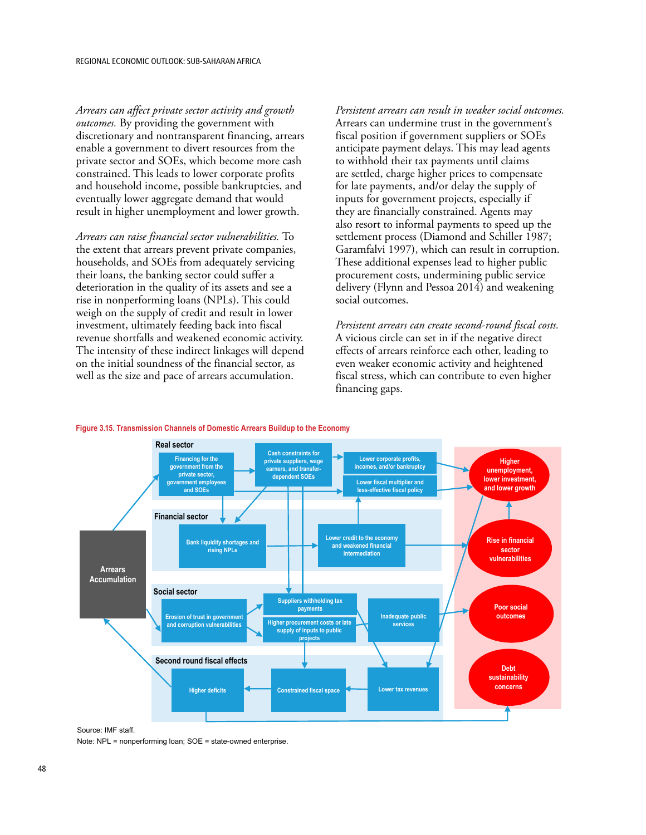*Arrears can affect private sector activity and growth outcomes.* By providing the government with discretionary and nontransparent financing, arrears enable a government to divert resources from the private sector and SOEs, which become more cash constrained. This leads to lower corporate profits and household income, possible bankruptcies, and eventually lower aggregate demand that would result in higher unemployment and lower growth.

*Arrears can raise financial sector vulnerabilities.* To the extent that arrears prevent private companies, households, and SOEs from adequately servicing their loans, the banking sector could suffer a deterioration in the quality of its assets and see a rise in nonperforming loans (NPLs). This could weigh on the supply of credit and result in lower investment, ultimately feeding back into fiscal revenue shortfalls and weakened economic activity. The intensity of these indirect linkages will depend on the initial soundness of the financial sector, as well as the size and pace of arrears accumulation.

*Persistent arrears can result in weaker social outcomes.*  Arrears can undermine trust in the government's fiscal position if government suppliers or SOEs anticipate payment delays. This may lead agents to withhold their tax payments until claims are settled, charge higher prices to compensate for late payments, and/or delay the supply of inputs for government projects, especially if they are financially constrained. Agents may also resort to informal payments to speed up the settlement process (Diamond and Schiller 1987; Garamfalvi 1997), which can result in corruption. These additional expenses lead to higher public procurement costs, undermining public service delivery (Flynn and Pessoa 2014) and weakening social outcomes.

*Persistent arrears can create second-round fiscal costs.*  A vicious circle can set in if the negative direct effects of arrears reinforce each other, leading to even weaker economic activity and heightened fiscal stress, which can contribute to even higher financing gaps.



#### **Figure 3.15. Transmission Channels of Domestic Arrears Buildup to the Economy**

Source: IMF staff.

Note: NPL = nonperforming loan; SOE = state-owned enterprise.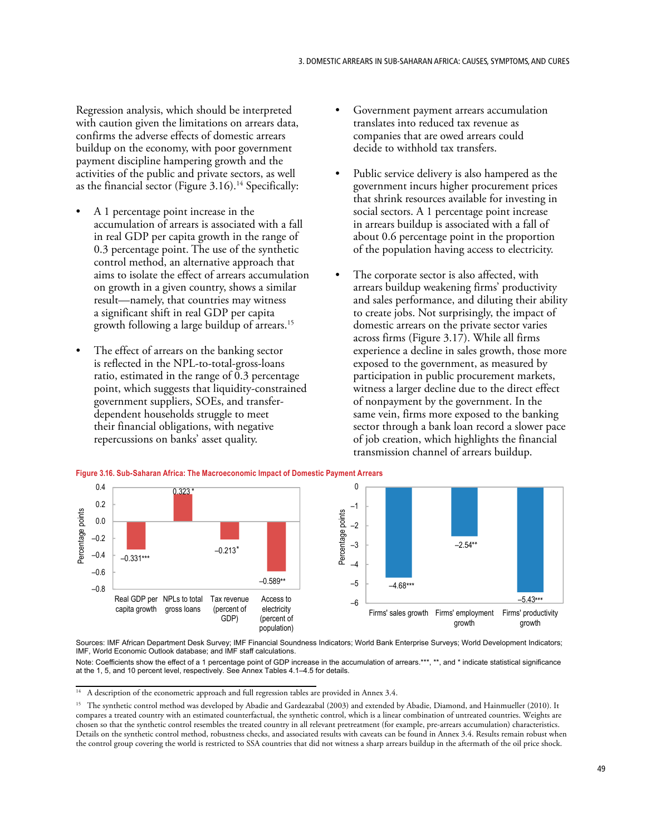Regression analysis, which should be interpreted with caution given the limitations on arrears data, confirms the adverse effects of domestic arrears buildup on the economy, with poor government payment discipline hampering growth and the activities of the public and private sectors, as well as the financial sector (Figure 3.16).<sup>14</sup> Specifically:

- A 1 percentage point increase in the accumulation of arrears is associated with a fall in real GDP per capita growth in the range of 0.3 percentage point. The use of the synthetic control method, an alternative approach that aims to isolate the effect of arrears accumulation on growth in a given country, shows a similar result—namely, that countries may witness a significant shift in real GDP per capita growth following a large buildup of arrears.15
- The effect of arrears on the banking sector is reflected in the NPL-to-total-gross-loans ratio, estimated in the range of 0.3 percentage point, which suggests that liquidity-constrained government suppliers, SOEs, and transferdependent households struggle to meet their financial obligations, with negative repercussions on banks' asset quality.
- Government payment arrears accumulation translates into reduced tax revenue as companies that are owed arrears could decide to withhold tax transfers.
- Public service delivery is also hampered as the government incurs higher procurement prices that shrink resources available for investing in social sectors. A 1 percentage point increase in arrears buildup is associated with a fall of about 0.6 percentage point in the proportion of the population having access to electricity.
- The corporate sector is also affected, with arrears buildup weakening firms' productivity and sales performance, and diluting their ability to create jobs. Not surprisingly, the impact of domestic arrears on the private sector varies across firms (Figure 3.17). While all firms experience a decline in sales growth, those more exposed to the government, as measured by participation in public procurement markets, witness a larger decline due to the direct effect of nonpayment by the government. In the same vein, firms more exposed to the banking sector through a bank loan record a slower pace of job creation, which highlights the financial transmission channel of arrears buildup.



Sources: IMF African Department Desk Survey; IMF Financial Soundness Indicators; World Bank Enterprise Surveys; World Development Indicators; IMF, World Economic Outlook database; and IMF staff calculations.

Note: Coefficients show the effect of a 1 percentage point of GDP increase in the accumulation of arrears.\*\*\*, \*\*, and \* indicate statistical significance at the 1, 5, and 10 percent level, respectively. See Annex Tables 4.1–4.5 for details.

<sup>&</sup>lt;sup>14</sup> A description of the econometric approach and full regression tables are provided in Annex 3.4.

<sup>&</sup>lt;sup>15</sup> The synthetic control method was developed by Abadie and Gardeazabal (2003) and extended by Abadie, Diamond, and Hainmueller (2010). It compares a treated country with an estimated counterfactual, the synthetic control, which is a linear combination of untreated countries. Weights are chosen so that the synthetic control resembles the treated country in all relevant pretreatment (for example, pre-arrears accumulation) characteristics. Details on the synthetic control method, robustness checks, and associated results with caveats can be found in Annex 3.4. Results remain robust when the control group covering the world is restricted to SSA countries that did not witness a sharp arrears buildup in the aftermath of the oil price shock.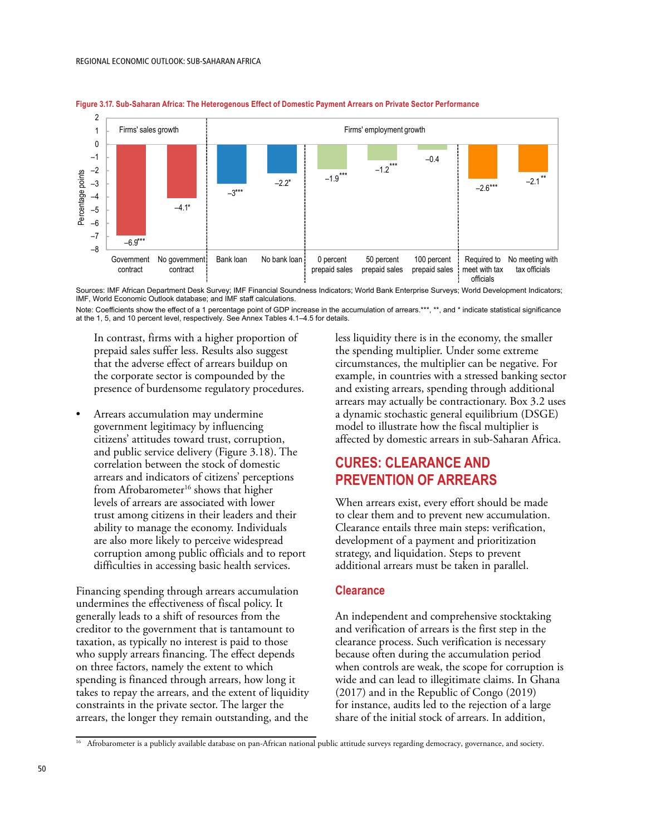

**Figure 3.17. Sub-Saharan Africa: The Heterogenous Effect of Domestic Payment Arrears on Private Sector Performance**

Sources: IMF African Department Desk Survey; IMF Financial Soundness Indicators; World Bank Enterprise Surveys; World Development Indicators; IMF, World Economic Outlook database; and IMF staff calculations.

Note: Coefficients show the effect of a 1 percentage point of GDP increase in the accumulation of arrears.\*\*\*, \*\*, and \* indicate statistical significance at the 1, 5, and 10 percent level, respectively. See Annex Tables 4.1–4.5 for details.

In contrast, firms with a higher proportion of prepaid sales suffer less. Results also suggest that the adverse effect of arrears buildup on the corporate sector is compounded by the presence of burdensome regulatory procedures.

• Arrears accumulation may undermine government legitimacy by influencing citizens' attitudes toward trust, corruption, and public service delivery (Figure 3.18). The correlation between the stock of domestic arrears and indicators of citizens' perceptions from Afrobarometer $16$  shows that higher levels of arrears are associated with lower trust among citizens in their leaders and their ability to manage the economy. Individuals are also more likely to perceive widespread corruption among public officials and to report difficulties in accessing basic health services.

Financing spending through arrears accumulation undermines the effectiveness of fiscal policy. It generally leads to a shift of resources from the creditor to the government that is tantamount to taxation, as typically no interest is paid to those who supply arrears financing. The effect depends on three factors, namely the extent to which spending is financed through arrears, how long it takes to repay the arrears, and the extent of liquidity constraints in the private sector. The larger the arrears, the longer they remain outstanding, and the less liquidity there is in the economy, the smaller the spending multiplier. Under some extreme circumstances, the multiplier can be negative. For example, in countries with a stressed banking sector and existing arrears, spending through additional arrears may actually be contractionary. Box 3.2 uses a dynamic stochastic general equilibrium (DSGE) model to illustrate how the fiscal multiplier is affected by domestic arrears in sub-Saharan Africa.

# **CURES: CLEARANCE AND PREVENTION OF ARREARS**

When arrears exist, every effort should be made to clear them and to prevent new accumulation. Clearance entails three main steps: verification, development of a payment and prioritization strategy, and liquidation. Steps to prevent additional arrears must be taken in parallel.

# **Clearance**

An independent and comprehensive stocktaking and verification of arrears is the first step in the clearance process. Such verification is necessary because often during the accumulation period when controls are weak, the scope for corruption is wide and can lead to illegitimate claims. In Ghana (2017) and in the Republic of Congo (2019) for instance, audits led to the rejection of a large share of the initial stock of arrears. In addition,

<sup>&</sup>lt;sup>16</sup> Afrobarometer is a publicly available database on pan-African national public attitude surveys regarding democracy, governance, and society.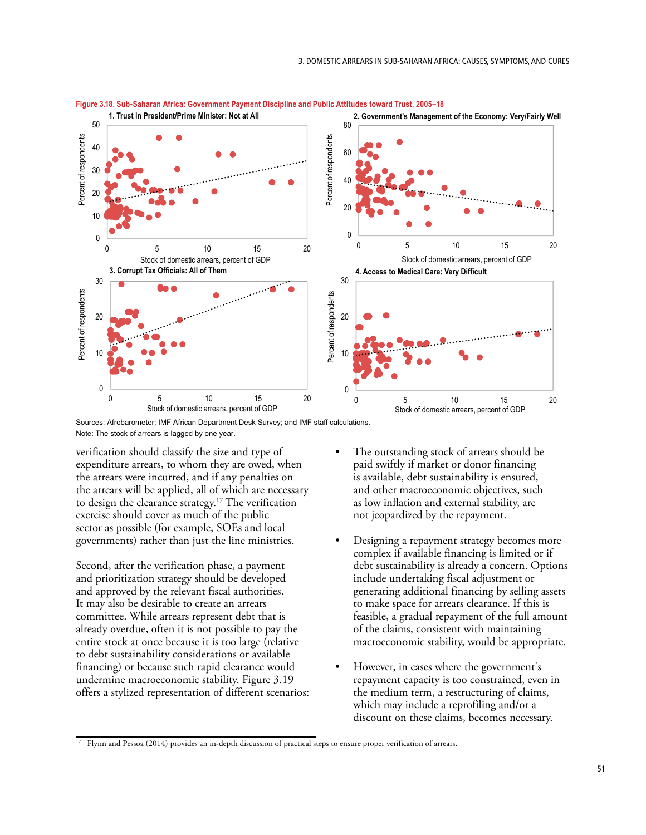

**Figure 3.18. Sub-Saharan Africa: Government Payment Discipline and Public Attitudes toward Trust, 2005–18** Figure 3.18. Sub-Saharan Africa: Government Payment Discipline and Public Attitudes toward Trust, 2005–18

Sources: Afrobarometer; IMF African Department Desk Survey; and IMF staff calculations. Note: The stock of arrears is lagged by one year.

 $\begin{bmatrix} 1 & 0 & 0 \\ 0 & 0 & 0 \\ 0 & 0 & 0 \end{bmatrix}$ 

verification should classify the size and type of expenditure arrears, to whom they are owed, when the arrears were incurred, and if any penalties on the arrears will be applied, all of which are necessary to design the clearance strategy.<sup>17</sup> The verification exercise should cover as much of the public sector as possible (for example, SOEs and local governments) rather than just the line ministries.

Second, after the verification phase, a payment and prioritization strategy should be developed and approved by the relevant fiscal authorities. It may also be desirable to create an arrears committee. While arrears represent debt that is already overdue, often it is not possible to pay the entire stock at once because it is too large (relative to debt sustainability considerations or available financing) or because such rapid clearance would undermine macroeconomic stability. Figure 3.19 offers a stylized representation of different scenarios:

- The outstanding stock of arrears should be paid swiftly if market or donor financing is available, debt sustainability is ensured, and other macroeconomic objectives, such as low inflation and external stability, are not jeopardized by the repayment.
- Designing a repayment strategy becomes more complex if available financing is limited or if debt sustainability is already a concern. Options include undertaking fiscal adjustment or generating additional financing by selling assets to make space for arrears clearance. If this is feasible, a gradual repayment of the full amount of the claims, consistent with maintaining macroeconomic stability, would be appropriate.
- However, in cases where the government's repayment capacity is too constrained, even in the medium term, a restructuring of claims, which may include a reprofiling and/or a discount on these claims, becomes necessary.

<sup>17</sup> Flynn and Pessoa (2014) provides an in-depth discussion of practical steps to ensure proper verification of arrears.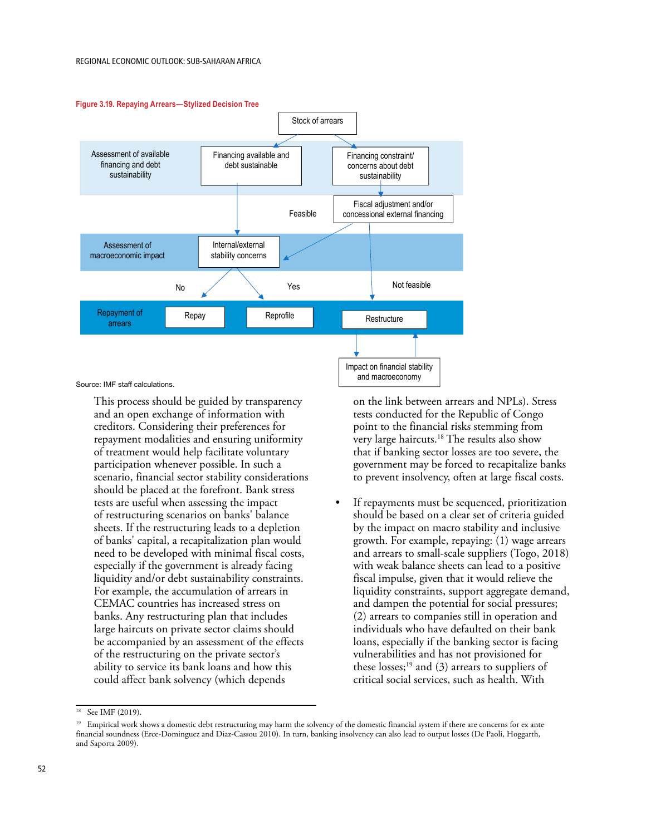

### **Figure 3.19. Repaying Arrears—Stylized Decision Tree**

Source: IMF staff calculations.

This process should be guided by transparency and an open exchange of information with creditors. Considering their preferences for repayment modalities and ensuring uniformity of treatment would help facilitate voluntary participation whenever possible. In such a scenario, financial sector stability considerations should be placed at the forefront. Bank stress tests are useful when assessing the impact of restructuring scenarios on banks' balance sheets. If the restructuring leads to a depletion of banks' capital, a recapitalization plan would need to be developed with minimal fiscal costs, especially if the government is already facing liquidity and/or debt sustainability constraints. For example, the accumulation of arrears in CEMAC countries has increased stress on banks. Any restructuring plan that includes large haircuts on private sector claims should be accompanied by an assessment of the effects of the restructuring on the private sector's ability to service its bank loans and how this could affect bank solvency (which depends

on the link between arrears and NPLs). Stress tests conducted for the Republic of Congo point to the financial risks stemming from very large haircuts.<sup>18</sup> The results also show that if banking sector losses are too severe, the government may be forced to recapitalize banks to prevent insolvency, often at large fiscal costs.

If repayments must be sequenced, prioritization should be based on a clear set of criteria guided by the impact on macro stability and inclusive growth. For example, repaying: (1) wage arrears and arrears to small-scale suppliers (Togo, 2018) with weak balance sheets can lead to a positive fiscal impulse, given that it would relieve the liquidity constraints, support aggregate demand, and dampen the potential for social pressures; (2) arrears to companies still in operation and individuals who have defaulted on their bank loans, especially if the banking sector is facing vulnerabilities and has not provisioned for these losses; $19$  and (3) arrears to suppliers of critical social services, such as health. With

<sup>&</sup>lt;sup>18</sup> See IMF (2019).

<sup>&</sup>lt;sup>19</sup> Empirical work shows a domestic debt restructuring may harm the solvency of the domestic financial system if there are concerns for ex ante financial soundness (Erce-Dominguez and Diaz-Cassou 2010). In turn, banking insolvency can also lead to output losses (De Paoli, Hoggarth, and Saporta 2009).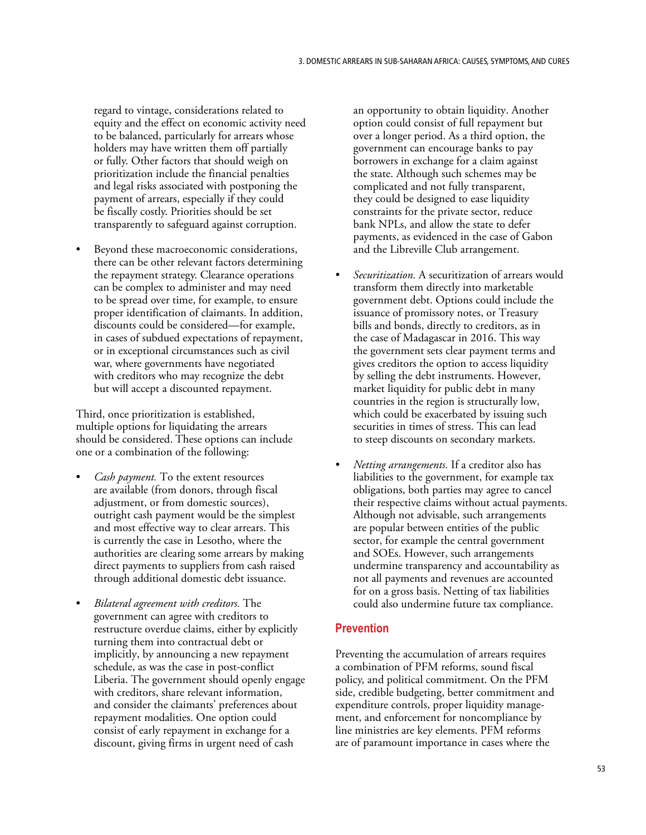regard to vintage, considerations related to equity and the effect on economic activity need to be balanced, particularly for arrears whose holders may have written them off partially or fully. Other factors that should weigh on prioritization include the financial penalties and legal risks associated with postponing the payment of arrears, especially if they could be fiscally costly. Priorities should be set transparently to safeguard against corruption.

Beyond these macroeconomic considerations, there can be other relevant factors determining the repayment strategy. Clearance operations can be complex to administer and may need to be spread over time, for example, to ensure proper identification of claimants. In addition, discounts could be considered—for example, in cases of subdued expectations of repayment, or in exceptional circumstances such as civil war, where governments have negotiated with creditors who may recognize the debt but will accept a discounted repayment.

Third, once prioritization is established, multiple options for liquidating the arrears should be considered. These options can include one or a combination of the following:

- *Cash payment.* To the extent resources are available (from donors, through fiscal adjustment, or from domestic sources), outright cash payment would be the simplest and most effective way to clear arrears. This is currently the case in Lesotho, where the authorities are clearing some arrears by making direct payments to suppliers from cash raised through additional domestic debt issuance.
- *Bilateral agreement with creditors.* The government can agree with creditors to restructure overdue claims, either by explicitly turning them into contractual debt or implicitly, by announcing a new repayment schedule, as was the case in post-conflict Liberia. The government should openly engage with creditors, share relevant information, and consider the claimants' preferences about repayment modalities. One option could consist of early repayment in exchange for a discount, giving firms in urgent need of cash

an opportunity to obtain liquidity. Another option could consist of full repayment but over a longer period. As a third option, the government can encourage banks to pay borrowers in exchange for a claim against the state. Although such schemes may be complicated and not fully transparent, they could be designed to ease liquidity constraints for the private sector, reduce bank NPLs, and allow the state to defer payments, as evidenced in the case of Gabon and the Libreville Club arrangement.

- *Securitization.* A securitization of arrears would transform them directly into marketable government debt. Options could include the issuance of promissory notes, or Treasury bills and bonds, directly to creditors, as in the case of Madagascar in 2016. This way the government sets clear payment terms and gives creditors the option to access liquidity by selling the debt instruments. However, market liquidity for public debt in many countries in the region is structurally low, which could be exacerbated by issuing such securities in times of stress. This can lead to steep discounts on secondary markets.
- *Netting arrangements.* If a creditor also has liabilities to the government, for example tax obligations, both parties may agree to cancel their respective claims without actual payments. Although not advisable, such arrangements are popular between entities of the public sector, for example the central government and SOEs. However, such arrangements undermine transparency and accountability as not all payments and revenues are accounted for on a gross basis. Netting of tax liabilities could also undermine future tax compliance.

### **Prevention**

Preventing the accumulation of arrears requires a combination of PFM reforms, sound fiscal policy, and political commitment. On the PFM side, credible budgeting, better commitment and expenditure controls, proper liquidity management, and enforcement for noncompliance by line ministries are key elements. PFM reforms are of paramount importance in cases where the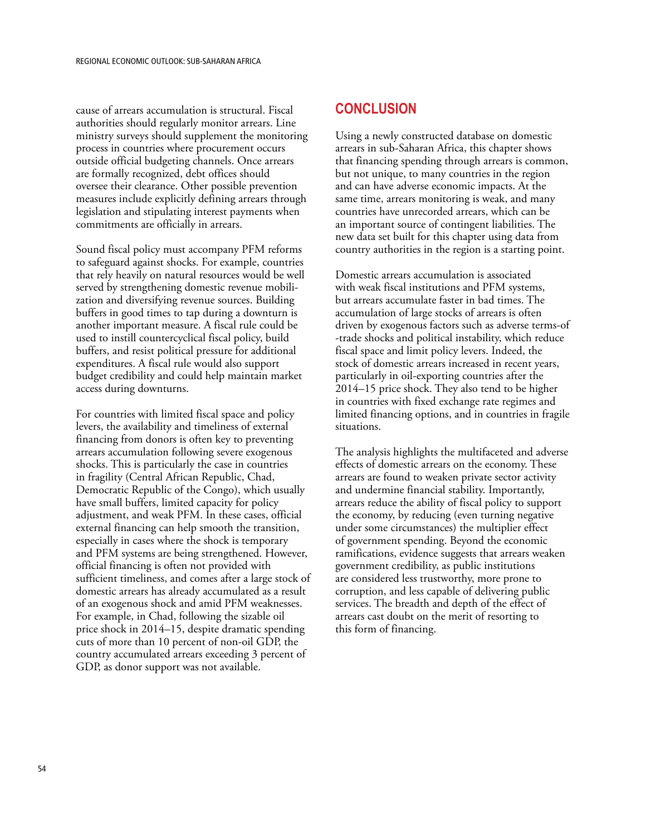cause of arrears accumulation is structural. Fiscal authorities should regularly monitor arrears. Line ministry surveys should supplement the monitoring process in countries where procurement occurs outside official budgeting channels. Once arrears are formally recognized, debt offices should oversee their clearance. Other possible prevention measures include explicitly defining arrears through legislation and stipulating interest payments when commitments are officially in arrears.

Sound fiscal policy must accompany PFM reforms to safeguard against shocks. For example, countries that rely heavily on natural resources would be well served by strengthening domestic revenue mobilization and diversifying revenue sources. Building buffers in good times to tap during a downturn is another important measure. A fiscal rule could be used to instill countercyclical fiscal policy, build buffers, and resist political pressure for additional expenditures. A fiscal rule would also support budget credibility and could help maintain market access during downturns.

For countries with limited fiscal space and policy levers, the availability and timeliness of external financing from donors is often key to preventing arrears accumulation following severe exogenous shocks. This is particularly the case in countries in fragility (Central African Republic, Chad, Democratic Republic of the Congo), which usually have small buffers, limited capacity for policy adjustment, and weak PFM. In these cases, official external financing can help smooth the transition, especially in cases where the shock is temporary and PFM systems are being strengthened. However, official financing is often not provided with sufficient timeliness, and comes after a large stock of domestic arrears has already accumulated as a result of an exogenous shock and amid PFM weaknesses. For example, in Chad, following the sizable oil price shock in 2014–15, despite dramatic spending cuts of more than 10 percent of non-oil GDP, the country accumulated arrears exceeding 3 percent of GDP, as donor support was not available.

# **CONCLUSION**

Using a newly constructed database on domestic arrears in sub-Saharan Africa, this chapter shows that financing spending through arrears is common, but not unique, to many countries in the region and can have adverse economic impacts. At the same time, arrears monitoring is weak, and many countries have unrecorded arrears, which can be an important source of contingent liabilities. The new data set built for this chapter using data from country authorities in the region is a starting point.

Domestic arrears accumulation is associated with weak fiscal institutions and PFM systems, but arrears accumulate faster in bad times. The accumulation of large stocks of arrears is often driven by exogenous factors such as adverse terms-of -trade shocks and political instability, which reduce fiscal space and limit policy levers. Indeed, the stock of domestic arrears increased in recent years, particularly in oil-exporting countries after the 2014–15 price shock. They also tend to be higher in countries with fixed exchange rate regimes and limited financing options, and in countries in fragile situations.

The analysis highlights the multifaceted and adverse effects of domestic arrears on the economy. These arrears are found to weaken private sector activity and undermine financial stability. Importantly, arrears reduce the ability of fiscal policy to support the economy, by reducing (even turning negative under some circumstances) the multiplier effect of government spending. Beyond the economic ramifications, evidence suggests that arrears weaken government credibility, as public institutions are considered less trustworthy, more prone to corruption, and less capable of delivering public services. The breadth and depth of the effect of arrears cast doubt on the merit of resorting to this form of financing.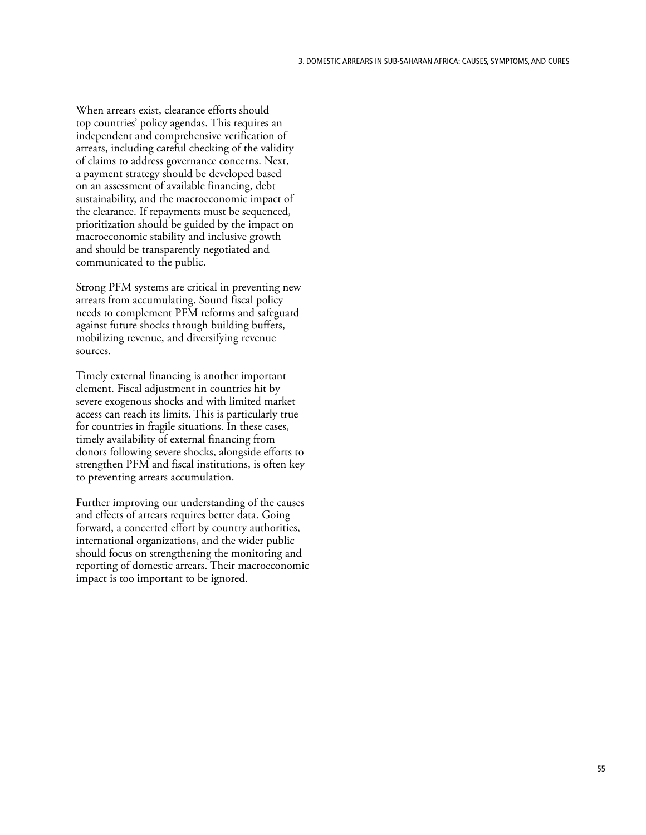When arrears exist, clearance efforts should top countries' policy agendas. This requires an independent and comprehensive verification of arrears, including careful checking of the validity of claims to address governance concerns. Next, a payment strategy should be developed based on an assessment of available financing, debt sustainability, and the macroeconomic impact of the clearance. If repayments must be sequenced, prioritization should be guided by the impact on macroeconomic stability and inclusive growth and should be transparently negotiated and communicated to the public.

Strong PFM systems are critical in preventing new arrears from accumulating. Sound fiscal policy needs to complement PFM reforms and safeguard against future shocks through building buffers, mobilizing revenue, and diversifying revenue sources.

Timely external financing is another important element. Fiscal adjustment in countries hit by severe exogenous shocks and with limited market access can reach its limits. This is particularly true for countries in fragile situations. In these cases, timely availability of external financing from donors following severe shocks, alongside efforts to strengthen PFM and fiscal institutions, is often key to preventing arrears accumulation.

Further improving our understanding of the causes and effects of arrears requires better data. Going forward, a concerted effort by country authorities, international organizations, and the wider public should focus on strengthening the monitoring and reporting of domestic arrears. Their macroeconomic impact is too important to be ignored.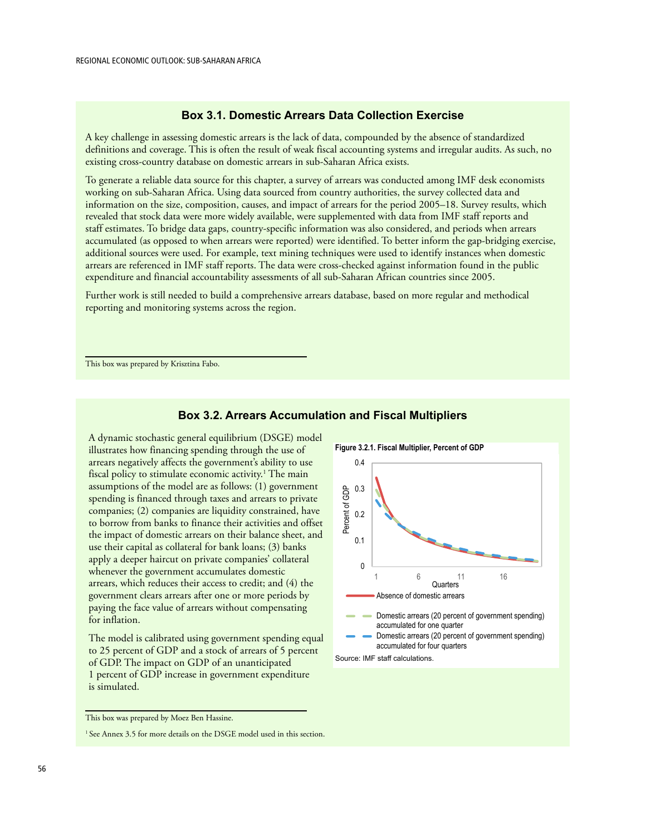# **Box 3.1. Domestic Arrears Data Collection Exercise**

A key challenge in assessing domestic arrears is the lack of data, compounded by the absence of standardized definitions and coverage. This is often the result of weak fiscal accounting systems and irregular audits. As such, no existing cross-country database on domestic arrears in sub-Saharan Africa exists.

To generate a reliable data source for this chapter, a survey of arrears was conducted among IMF desk economists working on sub-Saharan Africa. Using data sourced from country authorities, the survey collected data and information on the size, composition, causes, and impact of arrears for the period 2005–18. Survey results, which revealed that stock data were more widely available, were supplemented with data from IMF staff reports and staff estimates. To bridge data gaps, country-specific information was also considered, and periods when arrears accumulated (as opposed to when arrears were reported) were identified. To better inform the gap-bridging exercise, additional sources were used. For example, text mining techniques were used to identify instances when domestic arrears are referenced in IMF staff reports. The data were cross-checked against information found in the public expenditure and financial accountability assessments of all sub-Saharan African countries since 2005.

Further work is still needed to build a comprehensive arrears database, based on more regular and methodical reporting and monitoring systems across the region.

This box was prepared by Krisztina Fabo.

# **Figure 3.2.1. Fiscal Multiplier, Percent of GDP** 0.4 0.3 Percent of GDP Percent of GDP 0.2 0.1  $\Omega$ 1 6 11 16 Quarters<sup>®</sup> Absence of domestic arrears Domestic arrears (20 percent of government spending) accumulated for one quarter Domestic arrears (20 percent of government spending) accumulated for four quarters Source: IMF staff calculations.

### **Box 3.2. Arrears Accumulation and Fiscal Multipliers**

The model is calibrated using government spending equal to 25 percent of GDP and a stock of arrears of 5 percent of GDP. The impact on GDP of an unanticipated 1 percent of GDP increase in government expenditure is simulated.

A dynamic stochastic general equilibrium (DSGE) model illustrates how financing spending through the use of arrears negatively affects the government's ability to use fiscal policy to stimulate economic activity.<sup>1</sup> The main assumptions of the model are as follows: (1) government spending is financed through taxes and arrears to private companies; (2) companies are liquidity constrained, have to borrow from banks to finance their activities and offset the impact of domestic arrears on their balance sheet, and use their capital as collateral for bank loans; (3) banks apply a deeper haircut on private companies' collateral whenever the government accumulates domestic arrears, which reduces their access to credit; and (4) the government clears arrears after one or more periods by paying the face value of arrears without compensating

This box was prepared by Moez Ben Hassine.

for inflation.

 $1$  See Annex 3.5 for more details on the DSGE model used in this section.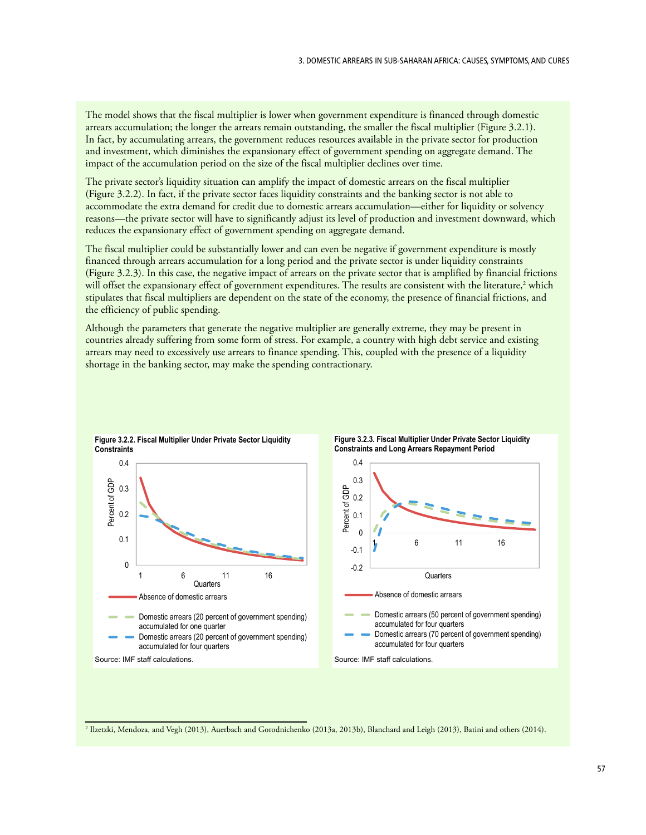The model shows that the fiscal multiplier is lower when government expenditure is financed through domestic arrears accumulation; the longer the arrears remain outstanding, the smaller the fiscal multiplier (Figure 3.2.1). In fact, by accumulating arrears, the government reduces resources available in the private sector for production and investment, which diminishes the expansionary effect of government spending on aggregate demand. The impact of the accumulation period on the size of the fiscal multiplier declines over time.

The private sector's liquidity situation can amplify the impact of domestic arrears on the fiscal multiplier (Figure 3.2.2). In fact, if the private sector faces liquidity constraints and the banking sector is not able to accommodate the extra demand for credit due to domestic arrears accumulation—either for liquidity or solvency reasons—the private sector will have to significantly adjust its level of production and investment downward, which reduces the expansionary effect of government spending on aggregate demand.

The fiscal multiplier could be substantially lower and can even be negative if government expenditure is mostly financed through arrears accumulation for a long period and the private sector is under liquidity constraints (Figure 3.2.3). In this case, the negative impact of arrears on the private sector that is amplified by financial frictions will offset the expansionary effect of government expenditures. The results are consistent with the literature,<sup>2</sup> which stipulates that fiscal multipliers are dependent on the state of the economy, the presence of financial frictions, and the efficiency of public spending.

Although the parameters that generate the negative multiplier are generally extreme, they may be present in countries already suffering from some form of stress. For example, a country with high debt service and existing arrears may need to excessively use arrears to finance spending. This, coupled with the presence of a liquidity shortage in the banking sector, may make the spending contractionary.



**Figure 3.2.3. Fiscal Multiplier Under Private Sector Liquidity**<br>Constraints and Long Arrears Beneument Deriod

2 Ilzetzki, Mendoza, and Vegh (2013), Auerbach and Gorodnichenko (2013a, 2013b), Blanchard and Leigh (2013), Batini and others (2014).